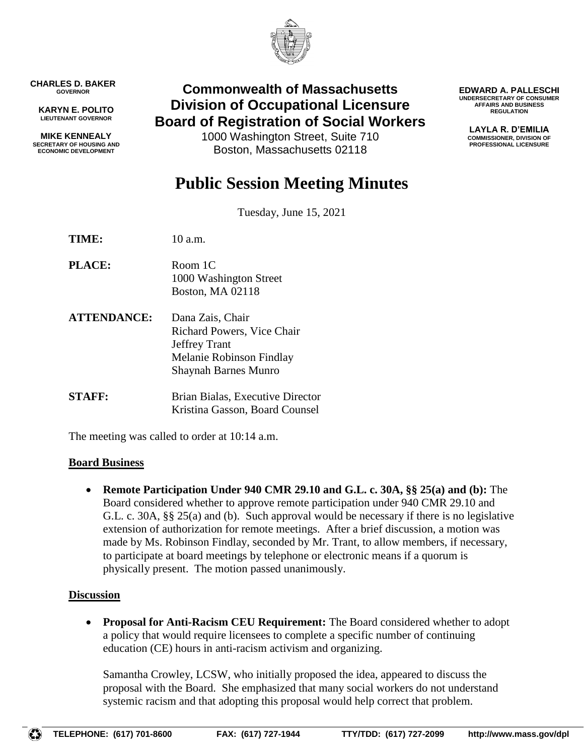

**CHARLES D. BAKER GOVERNOR**

**KARYN E. POLITO LIEUTENANT GOVERNOR**

**MIKE KENNEALY SECRETARY OF HOUSING AND ECONOMIC DEVELOPMENT**

# **Commonwealth of Massachusetts Division of Occupational Licensure Board of Registration of Social Workers**

1000 Washington Street, Suite 710 Boston, Massachusetts 02118

**EDWARD A. PALLESCHI UNDERSECRETARY OF CONSUMER AFFAIRS AND BUSINESS REGULATION**

> **LAYLA R. D'EMILIA COMMISSIONER, DIVISION OF PROFESSIONAL LICENSURE**

# **Public Session Meeting Minutes**

Tuesday, June 15, 2021

**TIME:** 10 a.m.

- **PLACE:** Room 1C 1000 Washington Street Boston, MA 02118
- **ATTENDANCE:** Dana Zais, Chair Richard Powers, Vice Chair Jeffrey Trant Melanie Robinson Findlay Shaynah Barnes Munro
- **STAFF:** Brian Bialas, Executive Director Kristina Gasson, Board Counsel

The meeting was called to order at 10:14 a.m.

### **Board Business**

 **Remote Participation Under 940 CMR 29.10 and G.L. c. 30A, §§ 25(a) and (b):** The Board considered whether to approve remote participation under 940 CMR 29.10 and G.L. c. 30A, §§ 25(a) and (b). Such approval would be necessary if there is no legislative extension of authorization for remote meetings. After a brief discussion, a motion was made by Ms. Robinson Findlay, seconded by Mr. Trant, to allow members, if necessary, to participate at board meetings by telephone or electronic means if a quorum is physically present. The motion passed unanimously.

# **Discussion**

 **Proposal for Anti-Racism CEU Requirement:** The Board considered whether to adopt a policy that would require licensees to complete a specific number of continuing education (CE) hours in anti-racism activism and organizing.

Samantha Crowley, LCSW, who initially proposed the idea, appeared to discuss the proposal with the Board. She emphasized that many social workers do not understand systemic racism and that adopting this proposal would help correct that problem.